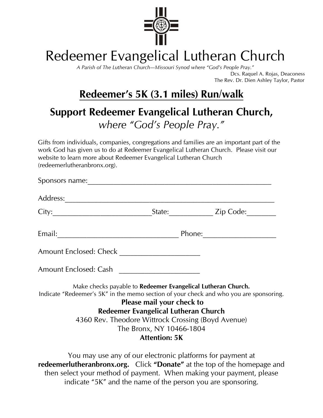

## Redeemer Evangelical Lutheran Church

*A Parish of The Lutheran Church—Missouri Synod where "God's People Pray."* Dcs. Raquel A. Rojas, Deaconess

The Rev. Dr. Dien Ashley Taylor, Pastor

### **Redeemer's 5K (3.1 miles) Run/walk**

#### **Support Redeemer Evangelical Lutheran Church,**  *where "God's People Pray."*

Gifts from individuals, companies, congregations and families are an important part of the work God has given us to do at Redeemer Evangelical Lutheran Church. Please visit our website to learn more about Redeemer Evangelical Lutheran Church (redeemerlutheranbronx.org).

|                                                                                                                                                                                                                                |                                                                                                                                                                                                                                                             | _State:_________________ Zip Code:_________                                            |
|--------------------------------------------------------------------------------------------------------------------------------------------------------------------------------------------------------------------------------|-------------------------------------------------------------------------------------------------------------------------------------------------------------------------------------------------------------------------------------------------------------|----------------------------------------------------------------------------------------|
| Email: Phone: Phone: 2014. 2015. 2016. 2017. 2018. 2019. 2019. 2019. 2019. 2019. 2019. 2019. 2019. 2019. 2019. 2019. 2019. 2019. 2019. 2019. 2019. 2019. 2019. 2019. 2019. 2019. 2019. 2019. 2019. 2019. 2019. 2019. 2019. 201 |                                                                                                                                                                                                                                                             |                                                                                        |
|                                                                                                                                                                                                                                |                                                                                                                                                                                                                                                             |                                                                                        |
| Amount Enclosed: Cash                                                                                                                                                                                                          |                                                                                                                                                                                                                                                             |                                                                                        |
|                                                                                                                                                                                                                                | Make checks payable to Redeemer Evangelical Lutheran Church.<br>Please mail your check to                                                                                                                                                                   | Indicate "Redeemer's 5K" in the memo section of your check and who you are sponsoring. |
|                                                                                                                                                                                                                                | Redeemer Evangelical Lutheran Church                                                                                                                                                                                                                        |                                                                                        |
|                                                                                                                                                                                                                                | 4360 Rev. Theodore Wittrock Crossing (Boyd Avenue)                                                                                                                                                                                                          |                                                                                        |
|                                                                                                                                                                                                                                | The Bronx, NY 10466-1804                                                                                                                                                                                                                                    |                                                                                        |
|                                                                                                                                                                                                                                | <b>Attention: 5K</b>                                                                                                                                                                                                                                        |                                                                                        |
|                                                                                                                                                                                                                                | You may use any of our electronic platforms for payment at<br>$\begin{bmatrix} 1 & 1 \end{bmatrix}$ $\begin{bmatrix} 1 & 1 \end{bmatrix}$ $\begin{bmatrix} 1 & 1 \end{bmatrix}$ $\begin{bmatrix} 1 & 1 \end{bmatrix}$ $\begin{bmatrix} 1 & 1 \end{bmatrix}$ |                                                                                        |

**redeemerlutheranbronx.org.** Click **"Donate"** at the top of the homepage and then select your method of payment. When making your payment, please indicate "5K" and the name of the person you are sponsoring.